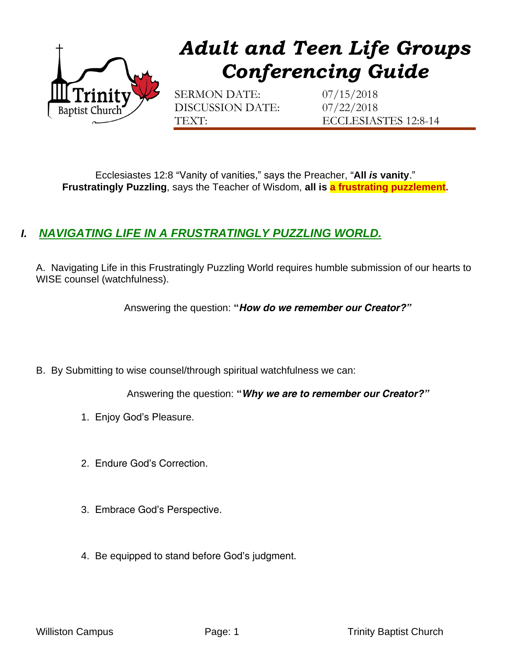

## *Adult and Teen Life Groups Conferencing Guide*

SERMON DATE: 07/15/2018 DISCUSSION DATE: 07/22/2018

TEXT: ECCLESIASTES 12:8-14

Ecclesiastes 12:8 "Vanity of vanities," says the Preacher, "**All** *is* **vanity**." **Frustratingly Puzzling**, says the Teacher of Wisdom, **all is a frustrating puzzlement.**

## *I. NAVIGATING LIFE IN A FRUSTRATINGLY PUZZLING WORLD.*

A. Navigating Life in this Frustratingly Puzzling World requires humble submission of our hearts to WISE counsel (watchfulness).

Answering the question: **"***How do we remember our Creator?"*

B. By Submitting to wise counsel/through spiritual watchfulness we can:

Answering the question: **"***Why we are to remember our Creator?"*

- 1. Enjoy God's Pleasure.
- 2. Endure God's Correction.
- 3. Embrace God's Perspective.
- 4. Be equipped to stand before God's judgment.